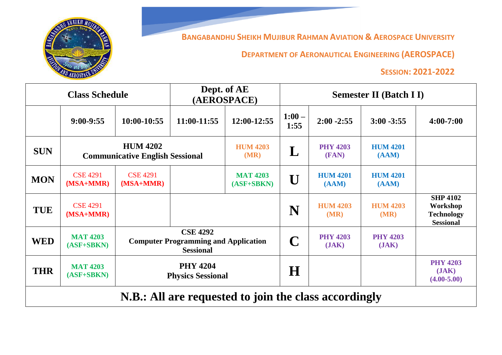

**BANGABANDHU SHEIKH MUJIBUR RAHMAN AVIATION & AEROSPACE UNIVERSITY**

**DEPARTMENT OF AERONAUTICAL ENGINEERING (AEROSPACE)**

## **SESSION: 2021-2022**

| <b>Class Schedule</b>                                 |                                                           |                                                                                    | Dept. of AE<br>(AEROSPACE) |                                 | <b>Semester II (Batch II)</b> |                          |                          |                                                                      |
|-------------------------------------------------------|-----------------------------------------------------------|------------------------------------------------------------------------------------|----------------------------|---------------------------------|-------------------------------|--------------------------|--------------------------|----------------------------------------------------------------------|
|                                                       | $9:00-9:55$                                               | 10:00-10:55                                                                        | 11:00-11:55                | 12:00-12:55                     | $1:00 -$<br>1:55              | $2:00 - 2:55$            | $3:00 - 3:55$            | $4:00 - 7:00$                                                        |
| <b>SUN</b>                                            | <b>HUM 4202</b><br><b>Communicative English Sessional</b> |                                                                                    |                            | <b>HUM 4203</b><br>(MR)         | $\mathbf L$                   | <b>PHY 4203</b><br>(FAN) | <b>HUM 4201</b><br>(AAM) |                                                                      |
| <b>MON</b>                                            | <b>CSE 4291</b><br>(MSA+MMR)                              | <b>CSE 4291</b><br>$(MSA+MMR)$                                                     |                            | <b>MAT 4203</b><br>$(ASF+SBKN)$ | Ū                             | <b>HUM 4201</b><br>(AAM) | <b>HUM 4201</b><br>(AAM) |                                                                      |
| <b>TUE</b>                                            | <b>CSE 4291</b><br>(MSA+MMR)                              |                                                                                    |                            |                                 | N                             | <b>HUM 4203</b><br>(MR)  | <b>HUM 4203</b><br>(MR)  | <b>SHP 4102</b><br>Workshop<br><b>Technology</b><br><b>Sessional</b> |
| <b>WED</b>                                            | <b>MAT 4203</b><br>$(ASF+SBKN)$                           | <b>CSE 4292</b><br><b>Computer Programming and Application</b><br><b>Sessional</b> |                            | C                               | <b>PHY 4203</b><br>(JAK)      | <b>PHY 4203</b><br>(JAK) |                          |                                                                      |
| <b>THR</b>                                            | <b>MAT 4203</b><br>$(ASF+SBKN)$                           | <b>PHY 4204</b><br><b>Physics Sessional</b>                                        |                            |                                 | $\bf H$                       |                          |                          | <b>PHY 4203</b><br>JAK<br>$(4.00 - 5.00)$                            |
| N.B.: All are requested to join the class accordingly |                                                           |                                                                                    |                            |                                 |                               |                          |                          |                                                                      |